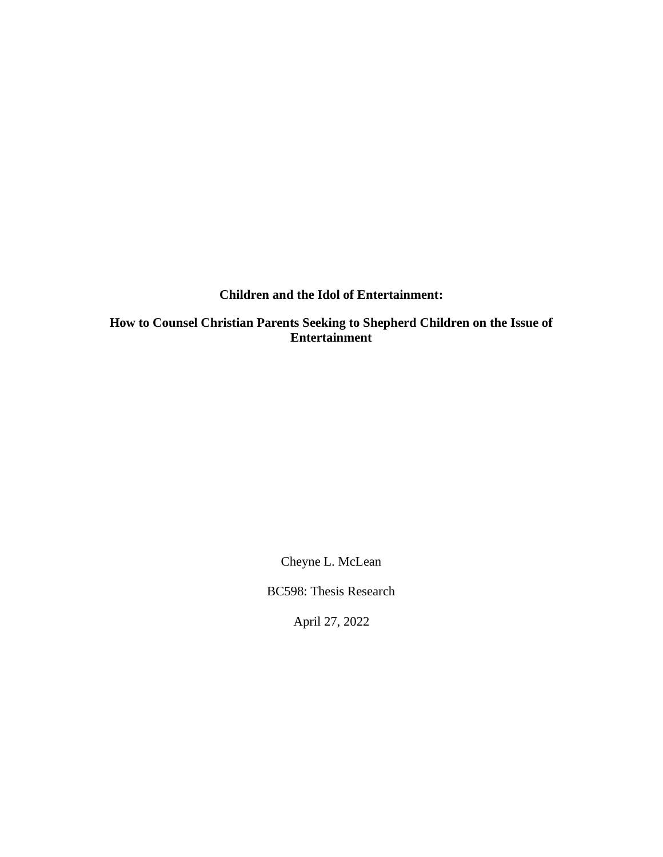### **Children and the Idol of Entertainment:**

**How to Counsel Christian Parents Seeking to Shepherd Children on the Issue of Entertainment**

Cheyne L. McLean

BC598: Thesis Research

April 27, 2022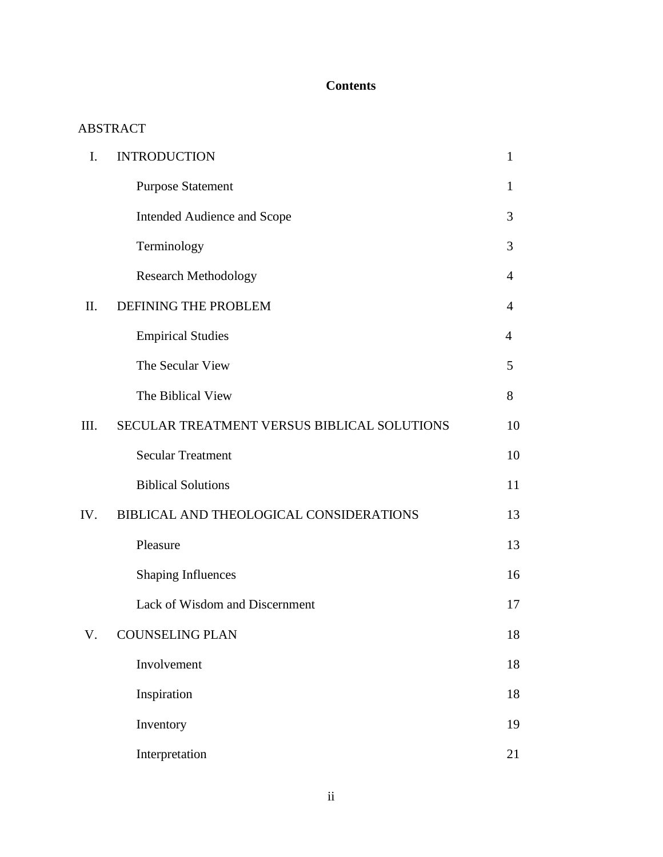# **Contents**

## ABSTRACT

| I.   | <b>INTRODUCTION</b>                         | $\mathbf{1}$   |
|------|---------------------------------------------|----------------|
|      | <b>Purpose Statement</b>                    | 1              |
|      | <b>Intended Audience and Scope</b>          | 3              |
|      | Terminology                                 | 3              |
|      | <b>Research Methodology</b>                 | 4              |
| Π.   | DEFINING THE PROBLEM                        | $\overline{4}$ |
|      | <b>Empirical Studies</b>                    | 4              |
|      | The Secular View                            | 5              |
|      | The Biblical View                           | 8              |
| III. | SECULAR TREATMENT VERSUS BIBLICAL SOLUTIONS | 10             |
|      | <b>Secular Treatment</b>                    | 10             |
|      | <b>Biblical Solutions</b>                   | 11             |
| IV.  | BIBLICAL AND THEOLOGICAL CONSIDERATIONS     | 13             |
|      | Pleasure                                    | 13             |
|      | <b>Shaping Influences</b>                   | 16             |
|      | Lack of Wisdom and Discernment              | 17             |
| V.   | <b>COUNSELING PLAN</b>                      | 18             |
|      | Involvement                                 | 18             |
|      | Inspiration                                 | 18             |
|      | Inventory                                   | 19             |
|      | Interpretation                              | 21             |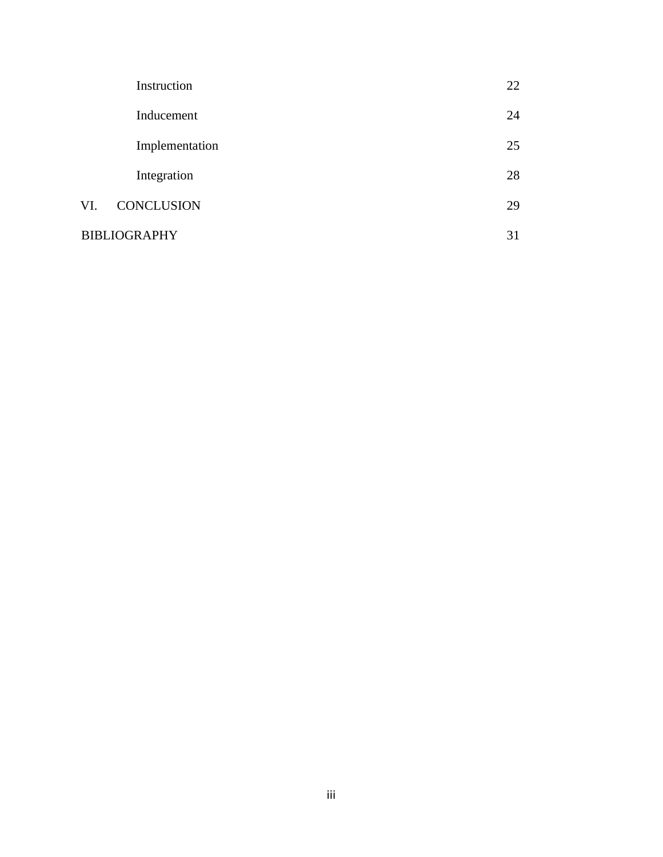|                     | Instruction       | 22 |
|---------------------|-------------------|----|
|                     | Inducement        | 24 |
|                     | Implementation    | 25 |
|                     | Integration       | 28 |
| VI.                 | <b>CONCLUSION</b> | 29 |
| <b>BIBLIOGRAPHY</b> |                   |    |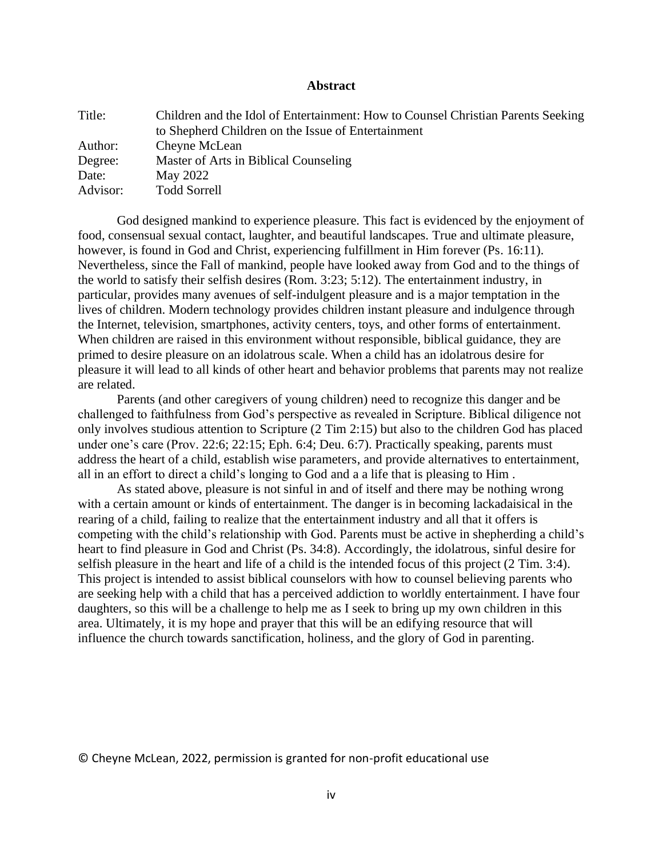#### **Abstract**

| Title:   | Children and the Idol of Entertainment: How to Counsel Christian Parents Seeking |
|----------|----------------------------------------------------------------------------------|
|          | to Shepherd Children on the Issue of Entertainment                               |
| Author:  | Cheyne McLean                                                                    |
| Degree:  | Master of Arts in Biblical Counseling                                            |
| Date:    | May 2022                                                                         |
| Advisor: | <b>Todd Sorrell</b>                                                              |

God designed mankind to experience pleasure. This fact is evidenced by the enjoyment of food, consensual sexual contact, laughter, and beautiful landscapes. True and ultimate pleasure, however, is found in God and Christ, experiencing fulfillment in Him forever (Ps. 16:11). Nevertheless, since the Fall of mankind, people have looked away from God and to the things of the world to satisfy their selfish desires (Rom. 3:23; 5:12). The entertainment industry, in particular, provides many avenues of self-indulgent pleasure and is a major temptation in the lives of children. Modern technology provides children instant pleasure and indulgence through the Internet, television, smartphones, activity centers, toys, and other forms of entertainment. When children are raised in this environment without responsible, biblical guidance, they are primed to desire pleasure on an idolatrous scale. When a child has an idolatrous desire for pleasure it will lead to all kinds of other heart and behavior problems that parents may not realize are related.

Parents (and other caregivers of young children) need to recognize this danger and be challenged to faithfulness from God's perspective as revealed in Scripture. Biblical diligence not only involves studious attention to Scripture (2 Tim 2:15) but also to the children God has placed under one's care (Prov. 22:6; 22:15; Eph. 6:4; Deu. 6:7). Practically speaking, parents must address the heart of a child, establish wise parameters, and provide alternatives to entertainment, all in an effort to direct a child's longing to God and a a life that is pleasing to Him .

As stated above, pleasure is not sinful in and of itself and there may be nothing wrong with a certain amount or kinds of entertainment. The danger is in becoming lackadaisical in the rearing of a child, failing to realize that the entertainment industry and all that it offers is competing with the child's relationship with God. Parents must be active in shepherding a child's heart to find pleasure in God and Christ (Ps. 34:8). Accordingly, the idolatrous, sinful desire for selfish pleasure in the heart and life of a child is the intended focus of this project (2 Tim. 3:4). This project is intended to assist biblical counselors with how to counsel believing parents who are seeking help with a child that has a perceived addiction to worldly entertainment. I have four daughters, so this will be a challenge to help me as I seek to bring up my own children in this area. Ultimately, it is my hope and prayer that this will be an edifying resource that will influence the church towards sanctification, holiness, and the glory of God in parenting.

© Cheyne McLean, 2022, permission is granted for non-profit educational use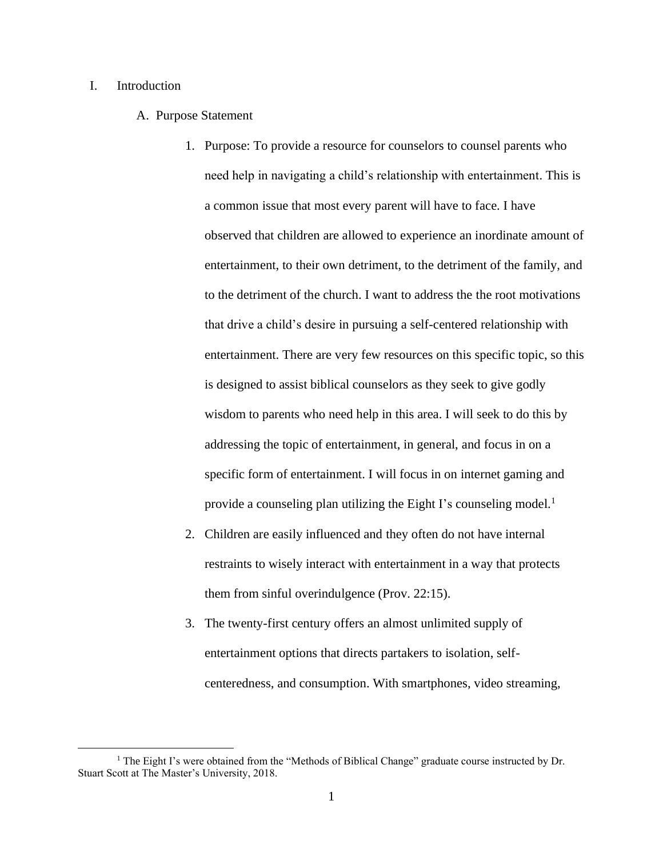#### I. Introduction

- A. Purpose Statement
	- 1. Purpose: To provide a resource for counselors to counsel parents who need help in navigating a child's relationship with entertainment. This is a common issue that most every parent will have to face. I have observed that children are allowed to experience an inordinate amount of entertainment, to their own detriment, to the detriment of the family, and to the detriment of the church. I want to address the the root motivations that drive a child's desire in pursuing a self-centered relationship with entertainment. There are very few resources on this specific topic, so this is designed to assist biblical counselors as they seek to give godly wisdom to parents who need help in this area. I will seek to do this by addressing the topic of entertainment, in general, and focus in on a specific form of entertainment. I will focus in on internet gaming and provide a counseling plan utilizing the Eight I's counseling model.<sup>1</sup>
	- 2. Children are easily influenced and they often do not have internal restraints to wisely interact with entertainment in a way that protects them from sinful overindulgence (Prov. 22:15).
	- 3. The twenty-first century offers an almost unlimited supply of entertainment options that directs partakers to isolation, selfcenteredness, and consumption. With smartphones, video streaming,

<sup>&</sup>lt;sup>1</sup> The Eight I's were obtained from the "Methods of Biblical Change" graduate course instructed by Dr. Stuart Scott at The Master's University, 2018.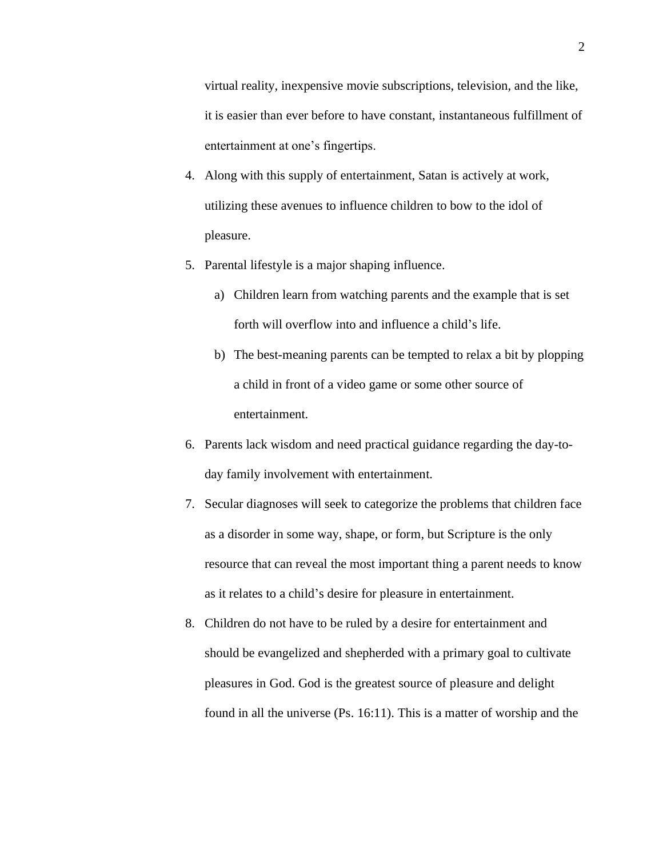virtual reality, inexpensive movie subscriptions, television, and the like, it is easier than ever before to have constant, instantaneous fulfillment of entertainment at one's fingertips.

- 4. Along with this supply of entertainment, Satan is actively at work, utilizing these avenues to influence children to bow to the idol of pleasure.
- 5. Parental lifestyle is a major shaping influence.
	- a) Children learn from watching parents and the example that is set forth will overflow into and influence a child's life.
	- b) The best-meaning parents can be tempted to relax a bit by plopping a child in front of a video game or some other source of entertainment.
- 6. Parents lack wisdom and need practical guidance regarding the day-today family involvement with entertainment.
- 7. Secular diagnoses will seek to categorize the problems that children face as a disorder in some way, shape, or form, but Scripture is the only resource that can reveal the most important thing a parent needs to know as it relates to a child's desire for pleasure in entertainment.
- 8. Children do not have to be ruled by a desire for entertainment and should be evangelized and shepherded with a primary goal to cultivate pleasures in God. God is the greatest source of pleasure and delight found in all the universe (Ps. 16:11). This is a matter of worship and the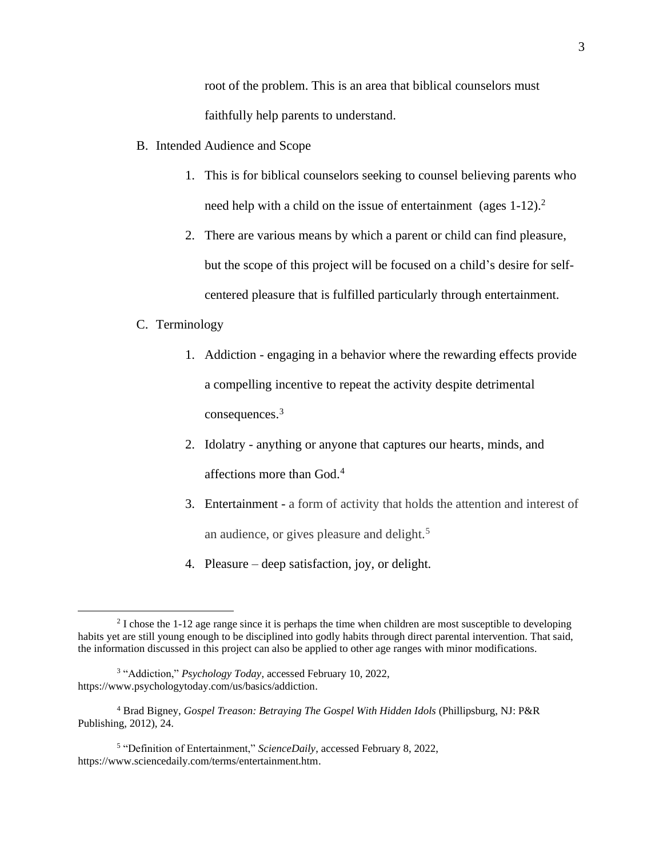root of the problem. This is an area that biblical counselors must faithfully help parents to understand.

- B. Intended Audience and Scope
	- 1. This is for biblical counselors seeking to counsel believing parents who need help with a child on the issue of entertainment (ages 1-12).<sup>2</sup>
	- 2. There are various means by which a parent or child can find pleasure, but the scope of this project will be focused on a child's desire for selfcentered pleasure that is fulfilled particularly through entertainment.

#### C. Terminology

- 1. Addiction engaging in a behavior where the rewarding effects provide a compelling incentive to repeat the activity despite detrimental consequences.<sup>3</sup>
- 2. Idolatry anything or anyone that captures our hearts, minds, and affections more than God.<sup>4</sup>
- 3. Entertainment a form of activity that holds the attention and interest of an audience, or gives pleasure and delight.<sup>5</sup>
- 4. Pleasure deep satisfaction, joy, or delight.

<sup>&</sup>lt;sup>2</sup> I chose the 1-12 age range since it is perhaps the time when children are most susceptible to developing habits yet are still young enough to be disciplined into godly habits through direct parental intervention. That said, the information discussed in this project can also be applied to other age ranges with minor modifications.

<sup>&</sup>lt;sup>3</sup> "Addiction," *Psychology Today*, accessed February 10, 2022, https://www.psychologytoday.com/us/basics/addiction.

<sup>4</sup> Brad Bigney, *Gospel Treason: Betraying The Gospel With Hidden Idols* (Phillipsburg, NJ: P&R Publishing, 2012), 24.

<sup>&</sup>lt;sup>5</sup> "Definition of Entertainment," *ScienceDaily*, accessed February 8, 2022, [https://www.sciencedaily.com/terms/entertainment.htm.](https://www.sciencedaily.com/terms/entertainment.htm)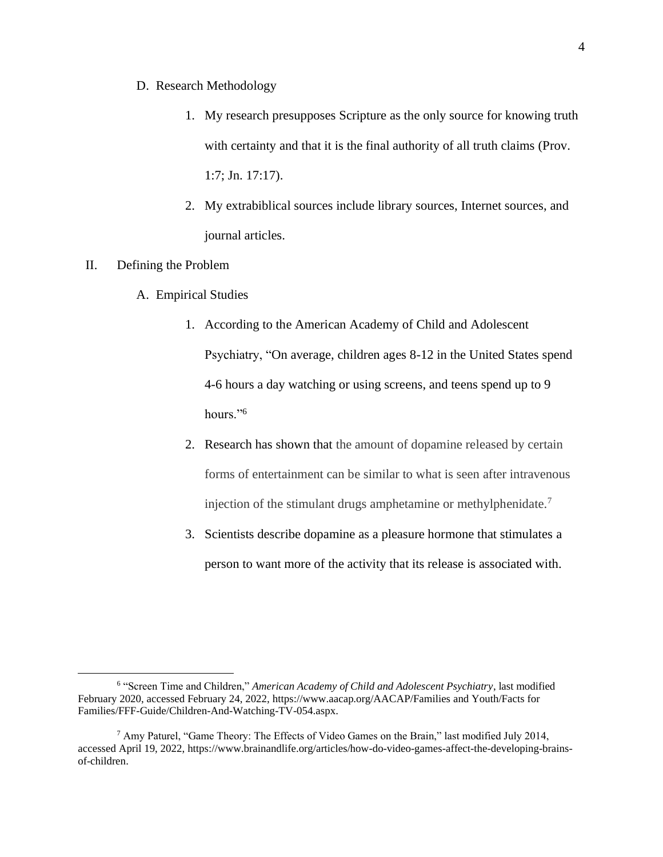- D. Research Methodology
	- 1. My research presupposes Scripture as the only source for knowing truth with certainty and that it is the final authority of all truth claims (Prov. 1:7; Jn. 17:17).
	- 2. My extrabiblical sources include library sources, Internet sources, and journal articles.

#### II. Defining the Problem

- A. Empirical Studies
	- 1. According to the American Academy of Child and Adolescent Psychiatry, "On average, children ages 8-12 in the United States spend 4-6 hours a day watching or using screens, and teens spend up to 9 hours."<sup>6</sup>
	- 2. Research has shown that the amount of dopamine released by certain forms of entertainment can be similar to what is seen after intravenous injection of the stimulant drugs amphetamine or methylphenidate.<sup>7</sup>
	- 3. Scientists describe dopamine as a pleasure hormone that stimulates a person to want more of the activity that its release is associated with.

<sup>6</sup> "Screen Time and Children," *American Academy of Child and Adolescent Psychiatry*, last modified February 2020, accessed February 24, 2022[, https://www.aacap.org/AACAP/Families and Youth/Facts for](https://www.aacap.org/AACAP/Families%20and%20Youth/Facts%20for%20Families/FFF-Guide/Children-And-Watching-TV-054.aspx)  [Families/FFF-Guide/Children-And-Watching-TV-054.aspx.](https://www.aacap.org/AACAP/Families%20and%20Youth/Facts%20for%20Families/FFF-Guide/Children-And-Watching-TV-054.aspx)

 $^7$  Amy Paturel, "Game Theory: The Effects of Video Games on the Brain," last modified July 2014, accessed April 19, 2022, [https://www.brainandlife.org/articles/how-do-video-games-affect-the-developing-brains](https://www.brainandlife.org/articles/how-do-video-games-affect-the-developing-brains-of-children)[of-children.](https://www.brainandlife.org/articles/how-do-video-games-affect-the-developing-brains-of-children)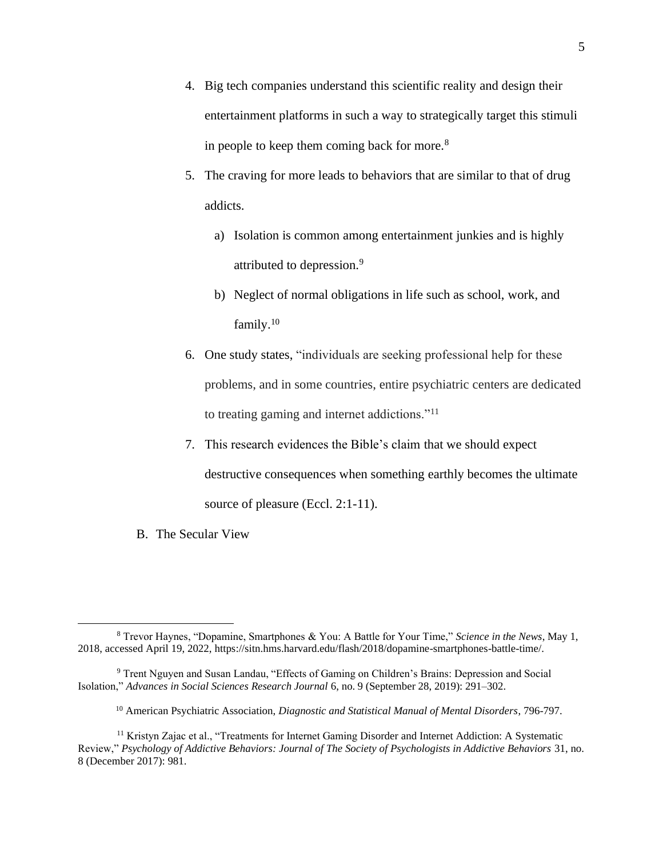- 4. Big tech companies understand this scientific reality and design their entertainment platforms in such a way to strategically target this stimuli in people to keep them coming back for more.<sup>8</sup>
- 5. The craving for more leads to behaviors that are similar to that of drug addicts.
	- a) Isolation is common among entertainment junkies and is highly attributed to depression.<sup>9</sup>
	- b) Neglect of normal obligations in life such as school, work, and family.<sup>10</sup>
- 6. One study states, "individuals are seeking professional help for these problems, and in some countries, entire psychiatric centers are dedicated to treating gaming and internet addictions."<sup>11</sup>
- 7. This research evidences the Bible's claim that we should expect destructive consequences when something earthly becomes the ultimate source of pleasure (Eccl. 2:1-11).
- B. The Secular View

<sup>8</sup> Trevor Haynes, "Dopamine, Smartphones & You: A Battle for Your Time," *Science in the News*, May 1, 2018, accessed April 19, 2022, [https://sitn.hms.harvard.edu/flash/2018/dopamine-smartphones-battle-time/.](https://sitn.hms.harvard.edu/flash/2018/dopamine-smartphones-battle-time/)

<sup>9</sup> Trent Nguyen and Susan Landau, "Effects of Gaming on Children's Brains: Depression and Social Isolation," *Advances in Social Sciences Research Journal* 6, no. 9 (September 28, 2019): 291–302.

<sup>10</sup> American Psychiatric Association, *Diagnostic and Statistical Manual of Mental Disorders*, 796-797.

<sup>11</sup> Kristyn Zajac et al., "Treatments for Internet Gaming Disorder and Internet Addiction: A Systematic Review," *Psychology of Addictive Behaviors: Journal of The Society of Psychologists in Addictive Behaviors* 31, no. 8 (December 2017): 981.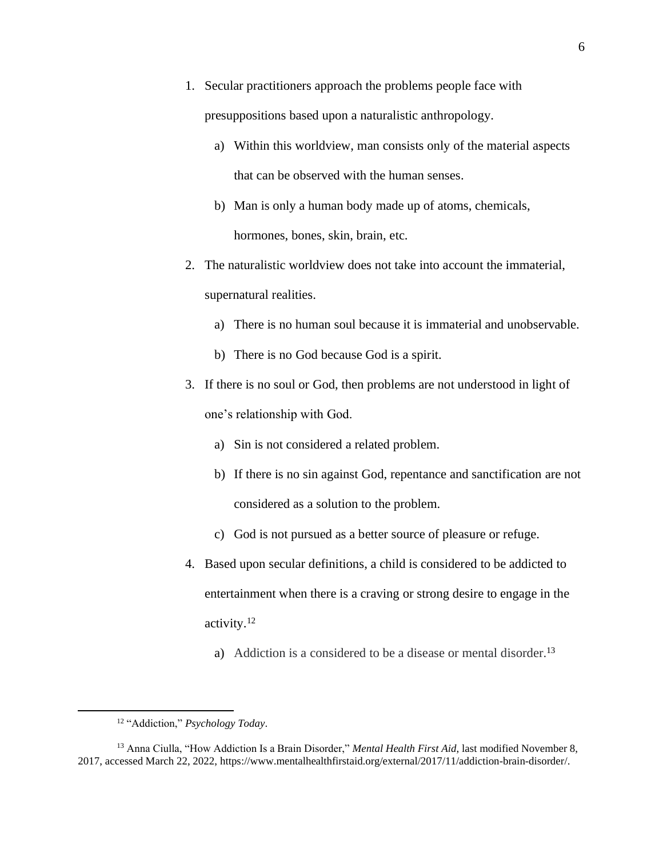- 1. Secular practitioners approach the problems people face with presuppositions based upon a naturalistic anthropology.
	- a) Within this worldview, man consists only of the material aspects that can be observed with the human senses.
	- b) Man is only a human body made up of atoms, chemicals, hormones, bones, skin, brain, etc.
- 2. The naturalistic worldview does not take into account the immaterial, supernatural realities.
	- a) There is no human soul because it is immaterial and unobservable.
	- b) There is no God because God is a spirit.
- 3. If there is no soul or God, then problems are not understood in light of one's relationship with God.
	- a) Sin is not considered a related problem.
	- b) If there is no sin against God, repentance and sanctification are not considered as a solution to the problem.
	- c) God is not pursued as a better source of pleasure or refuge.
- 4. Based upon secular definitions, a child is considered to be addicted to entertainment when there is a craving or strong desire to engage in the activity.<sup>12</sup>
	- a) Addiction is a considered to be a disease or mental disorder.<sup>13</sup>

<sup>12</sup> "Addiction," *Psychology Today*.

<sup>13</sup> Anna Ciulla, "How Addiction Is a Brain Disorder," *Mental Health First Aid*, last modified November 8, 2017, accessed March 22, 2022, [https://www.mentalhealthfirstaid.org/external/2017/11/addiction-brain-disorder/.](https://www.mentalhealthfirstaid.org/external/2017/11/addiction-brain-disorder/)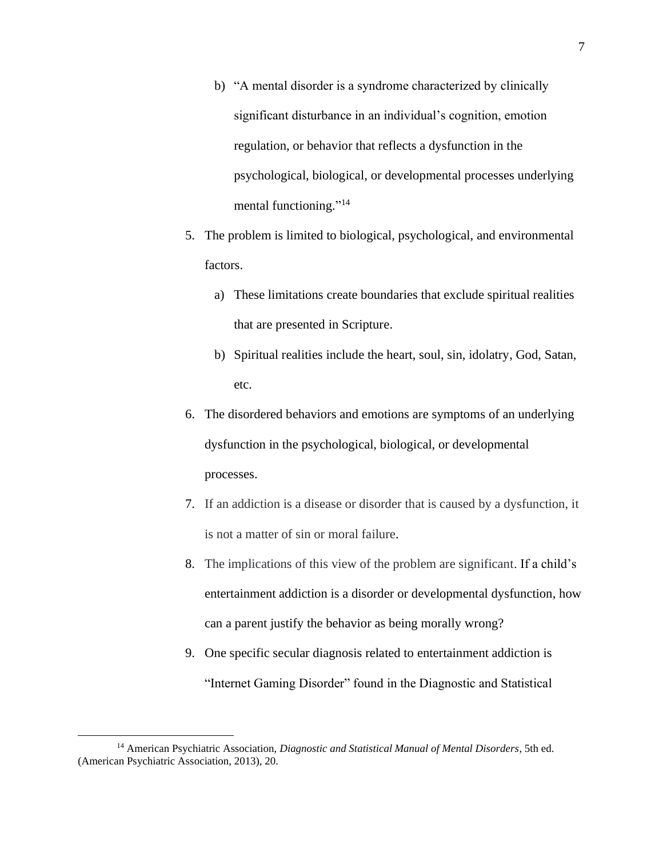- b) "A mental disorder is a syndrome characterized by clinically significant disturbance in an individual's cognition, emotion regulation, or behavior that reflects a dysfunction in the psychological, biological, or developmental processes underlying mental functioning."<sup>14</sup>
- 5. The problem is limited to biological, psychological, and environmental factors.
	- a) These limitations create boundaries that exclude spiritual realities that are presented in Scripture.
	- b) Spiritual realities include the heart, soul, sin, idolatry, God, Satan, etc.
- 6. The disordered behaviors and emotions are symptoms of an underlying dysfunction in the psychological, biological, or developmental processes.
- 7. If an addiction is a disease or disorder that is caused by a dysfunction, it is not a matter of sin or moral failure.
- 8. The implications of this view of the problem are significant. If a child's entertainment addiction is a disorder or developmental dysfunction, how can a parent justify the behavior as being morally wrong?
- 9. One specific secular diagnosis related to entertainment addiction is "Internet Gaming Disorder" found in the Diagnostic and Statistical

<sup>14</sup> American Psychiatric Association, *Diagnostic and Statistical Manual of Mental Disorders*, 5th ed. (American Psychiatric Association, 2013), 20.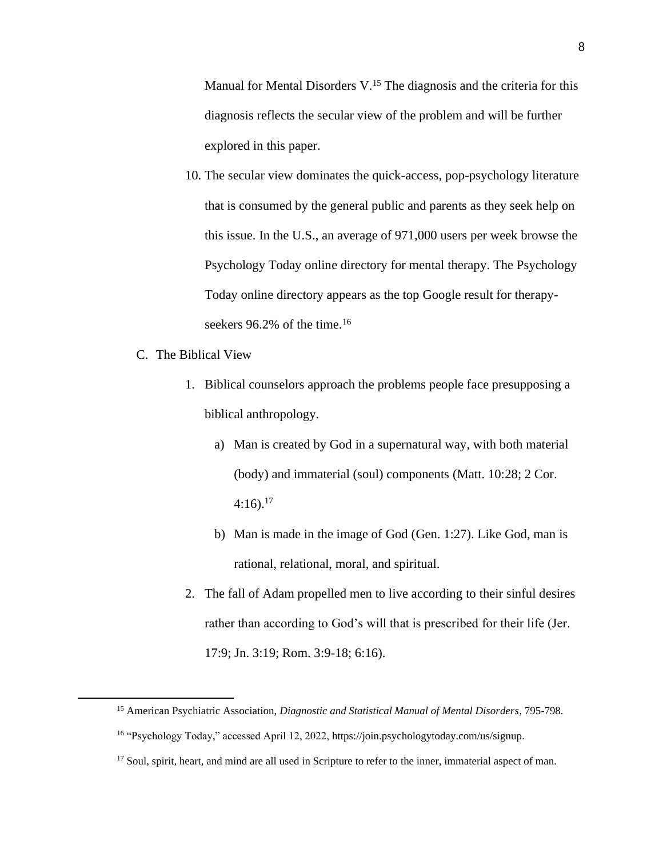Manual for Mental Disorders V.<sup>15</sup> The diagnosis and the criteria for this diagnosis reflects the secular view of the problem and will be further explored in this paper.

- 10. The secular view dominates the quick-access, pop-psychology literature that is consumed by the general public and parents as they seek help on this issue. In the U.S., an average of 971,000 users per week browse the Psychology Today online directory for mental therapy. The Psychology Today online directory appears as the top Google result for therapyseekers 96.2% of the time.<sup>16</sup>
- C. The Biblical View
	- 1. Biblical counselors approach the problems people face presupposing a biblical anthropology.
		- a) Man is created by God in a supernatural way, with both material (body) and immaterial (soul) components (Matt. 10:28; 2 Cor.  $4:16$ ).<sup>17</sup>
		- b) Man is made in the image of God (Gen. 1:27). Like God, man is rational, relational, moral, and spiritual.
	- 2. The fall of Adam propelled men to live according to their sinful desires rather than according to God's will that is prescribed for their life (Jer. 17:9; Jn. 3:19; Rom. 3:9-18; 6:16).

<sup>15</sup> American Psychiatric Association, *Diagnostic and Statistical Manual of Mental Disorders*, 795-798. <sup>16</sup> "Psychology Today," accessed April 12, 2022[, https://join.psychologytoday.com/us/signup.](https://join.psychologytoday.com/us/signup)

<sup>&</sup>lt;sup>17</sup> Soul, spirit, heart, and mind are all used in Scripture to refer to the inner, immaterial aspect of man.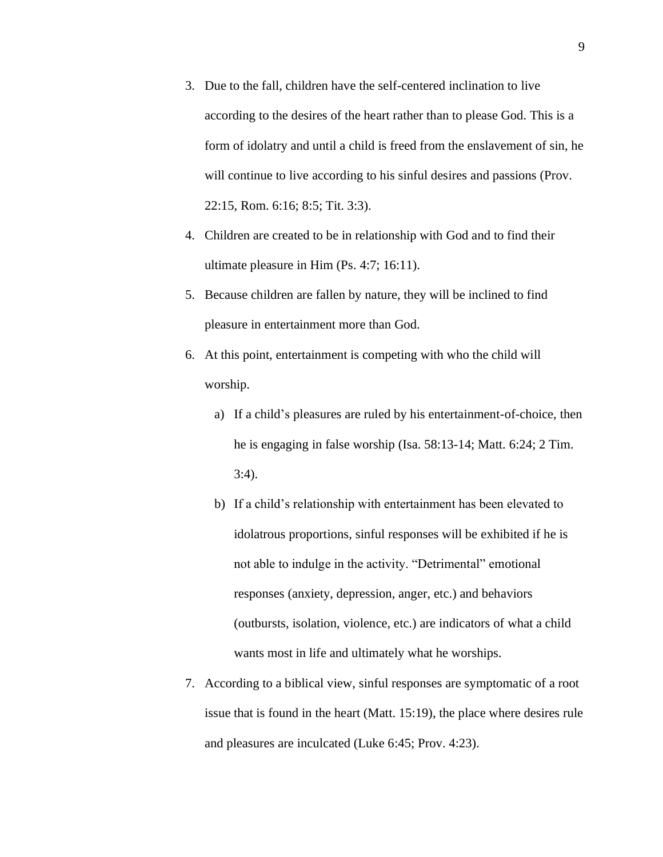- 3. Due to the fall, children have the self-centered inclination to live according to the desires of the heart rather than to please God. This is a form of idolatry and until a child is freed from the enslavement of sin, he will continue to live according to his sinful desires and passions (Prov. 22:15, Rom. 6:16; 8:5; Tit. 3:3).
- 4. Children are created to be in relationship with God and to find their ultimate pleasure in Him (Ps. 4:7; 16:11).
- 5. Because children are fallen by nature, they will be inclined to find pleasure in entertainment more than God.
- 6. At this point, entertainment is competing with who the child will worship.
	- a) If a child's pleasures are ruled by his entertainment-of-choice, then he is engaging in false worship (Isa. 58:13-14; Matt. 6:24; 2 Tim. 3:4).
	- b) If a child's relationship with entertainment has been elevated to idolatrous proportions, sinful responses will be exhibited if he is not able to indulge in the activity. "Detrimental" emotional responses (anxiety, depression, anger, etc.) and behaviors (outbursts, isolation, violence, etc.) are indicators of what a child wants most in life and ultimately what he worships.
- 7. According to a biblical view, sinful responses are symptomatic of a root issue that is found in the heart (Matt. 15:19), the place where desires rule and pleasures are inculcated (Luke 6:45; Prov. 4:23).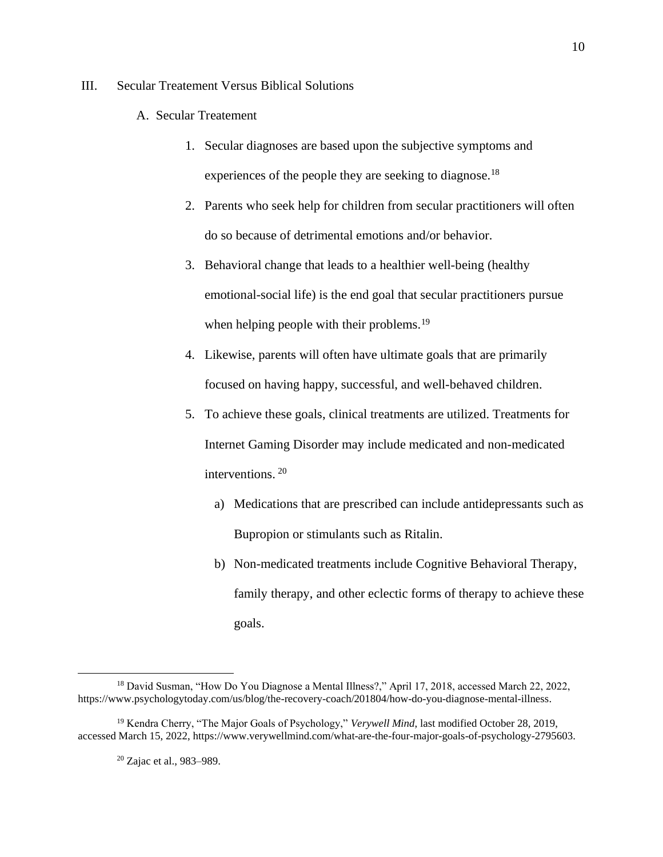#### III. Secular Treatement Versus Biblical Solutions

- A. Secular Treatement
	- 1. Secular diagnoses are based upon the subjective symptoms and experiences of the people they are seeking to diagnose.<sup>18</sup>
	- 2. Parents who seek help for children from secular practitioners will often do so because of detrimental emotions and/or behavior.
	- 3. Behavioral change that leads to a healthier well-being (healthy emotional-social life) is the end goal that secular practitioners pursue when helping people with their problems.<sup>19</sup>
	- 4. Likewise, parents will often have ultimate goals that are primarily focused on having happy, successful, and well-behaved children.
	- 5. To achieve these goals, clinical treatments are utilized. Treatments for Internet Gaming Disorder may include medicated and non-medicated interventions. <sup>20</sup>
		- a) Medications that are prescribed can include antidepressants such as Bupropion or stimulants such as Ritalin.
		- b) Non-medicated treatments include Cognitive Behavioral Therapy, family therapy, and other eclectic forms of therapy to achieve these goals.

<sup>&</sup>lt;sup>18</sup> David Susman, "How Do You Diagnose a Mental Illness?," April 17, 2018, accessed March 22, 2022, [https://www.psychologytoday.com/us/blog/the-recovery-coach/201804/how-do-you-diagnose-mental-illness.](https://www.psychologytoday.com/us/blog/the-recovery-coach/201804/how-do-you-diagnose-mental-illness)

<sup>&</sup>lt;sup>19</sup> Kendra Cherry, "The Major Goals of Psychology," *Verywell Mind*, last modified October 28, 2019, accessed March 15, 2022, [https://www.verywellmind.com/what-are-the-four-major-goals-of-psychology-2795603.](https://www.verywellmind.com/what-are-the-four-major-goals-of-psychology-2795603)

<sup>20</sup> Zajac et al., 983–989.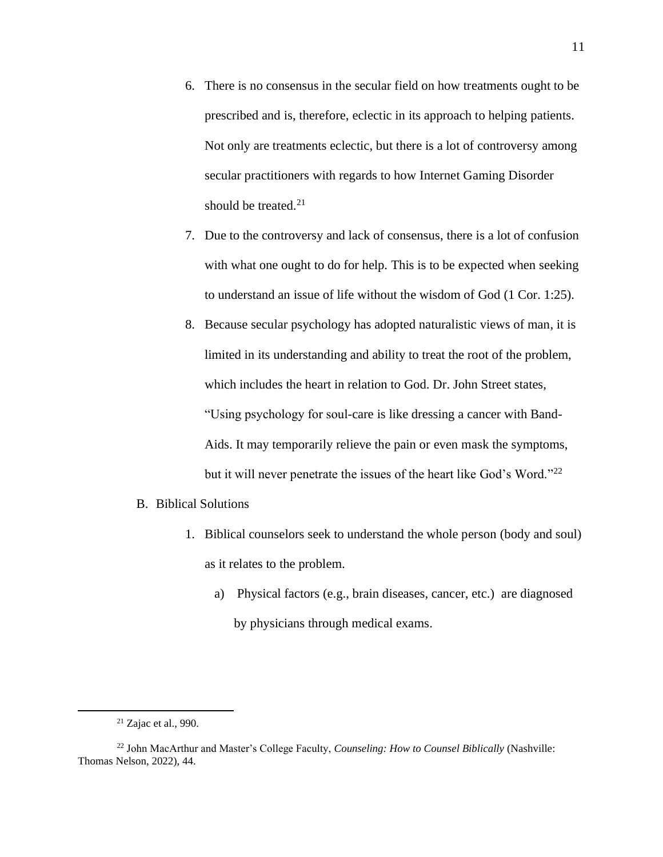- 6. There is no consensus in the secular field on how treatments ought to be prescribed and is, therefore, eclectic in its approach to helping patients. Not only are treatments eclectic, but there is a lot of controversy among secular practitioners with regards to how Internet Gaming Disorder should be treated. $21$
- 7. Due to the controversy and lack of consensus, there is a lot of confusion with what one ought to do for help. This is to be expected when seeking to understand an issue of life without the wisdom of God (1 Cor. 1:25).
- 8. Because secular psychology has adopted naturalistic views of man, it is limited in its understanding and ability to treat the root of the problem, which includes the heart in relation to God. Dr. John Street states, "Using psychology for soul-care is like dressing a cancer with Band-Aids. It may temporarily relieve the pain or even mask the symptoms, but it will never penetrate the issues of the heart like God's Word."<sup>22</sup>

#### B. Biblical Solutions

- 1. Biblical counselors seek to understand the whole person (body and soul) as it relates to the problem.
	- a) Physical factors (e.g., brain diseases, cancer, etc.) are diagnosed by physicians through medical exams.

 $21$  Zajac et al., 990.

<sup>22</sup> John MacArthur and Master's College Faculty, *Counseling: How to Counsel Biblically* (Nashville: Thomas Nelson, 2022), 44.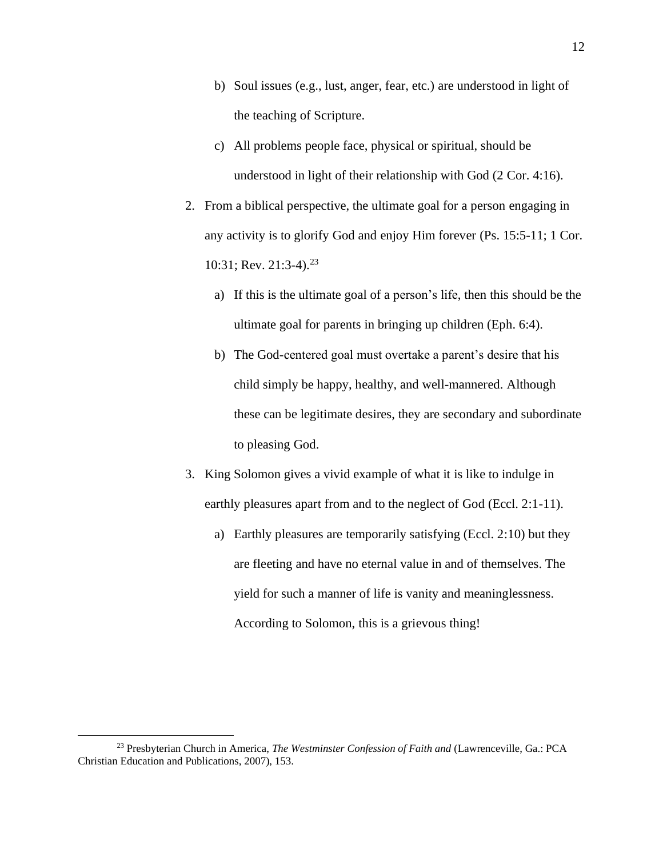- b) Soul issues (e.g., lust, anger, fear, etc.) are understood in light of the teaching of Scripture.
- c) All problems people face, physical or spiritual, should be understood in light of their relationship with God (2 Cor. 4:16).
- 2. From a biblical perspective, the ultimate goal for a person engaging in any activity is to glorify God and enjoy Him forever (Ps. 15:5-11; 1 Cor. 10:31; Rev. 21:3-4).<sup>23</sup>
	- a) If this is the ultimate goal of a person's life, then this should be the ultimate goal for parents in bringing up children (Eph. 6:4).
	- b) The God-centered goal must overtake a parent's desire that his child simply be happy, healthy, and well-mannered. Although these can be legitimate desires, they are secondary and subordinate to pleasing God.
- 3. King Solomon gives a vivid example of what it is like to indulge in earthly pleasures apart from and to the neglect of God (Eccl. 2:1-11).
	- a) Earthly pleasures are temporarily satisfying (Eccl. 2:10) but they are fleeting and have no eternal value in and of themselves. The yield for such a manner of life is vanity and meaninglessness. According to Solomon, this is a grievous thing!

<sup>23</sup> Presbyterian Church in America, *The Westminster Confession of Faith and* (Lawrenceville, Ga.: PCA Christian Education and Publications, 2007), 153.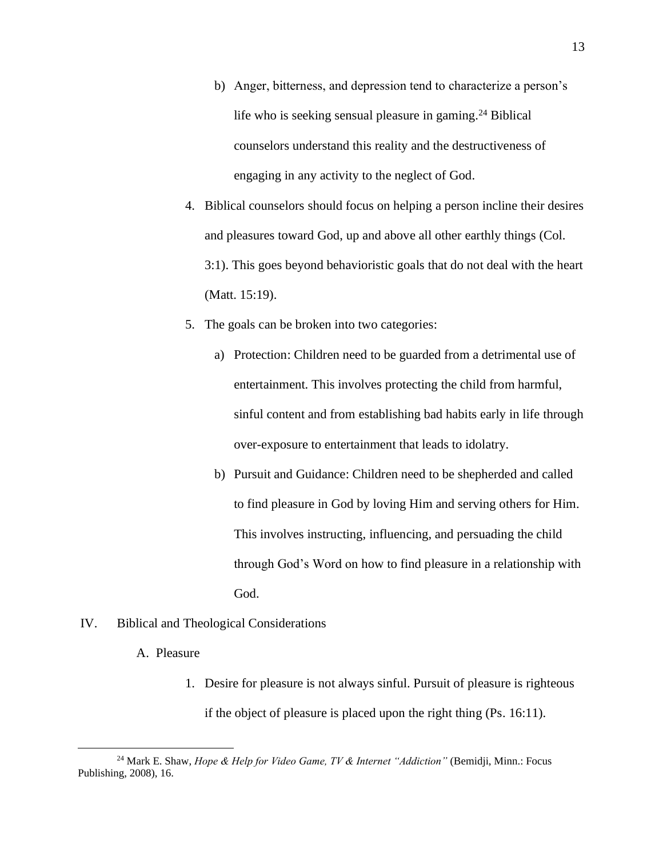- b) Anger, bitterness, and depression tend to characterize a person's life who is seeking sensual pleasure in gaming.<sup>24</sup> Biblical counselors understand this reality and the destructiveness of engaging in any activity to the neglect of God.
- 4. Biblical counselors should focus on helping a person incline their desires and pleasures toward God, up and above all other earthly things (Col. 3:1). This goes beyond behavioristic goals that do not deal with the heart (Matt. 15:19).
- 5. The goals can be broken into two categories:
	- a) Protection: Children need to be guarded from a detrimental use of entertainment. This involves protecting the child from harmful, sinful content and from establishing bad habits early in life through over-exposure to entertainment that leads to idolatry.
	- b) Pursuit and Guidance: Children need to be shepherded and called to find pleasure in God by loving Him and serving others for Him. This involves instructing, influencing, and persuading the child through God's Word on how to find pleasure in a relationship with God.
- IV. Biblical and Theological Considerations
	- A. Pleasure
		- 1. Desire for pleasure is not always sinful. Pursuit of pleasure is righteous if the object of pleasure is placed upon the right thing (Ps. 16:11).

<sup>24</sup> Mark E. Shaw, *Hope & Help for Video Game, TV & Internet "Addiction"* (Bemidji, Minn.: Focus Publishing, 2008), 16.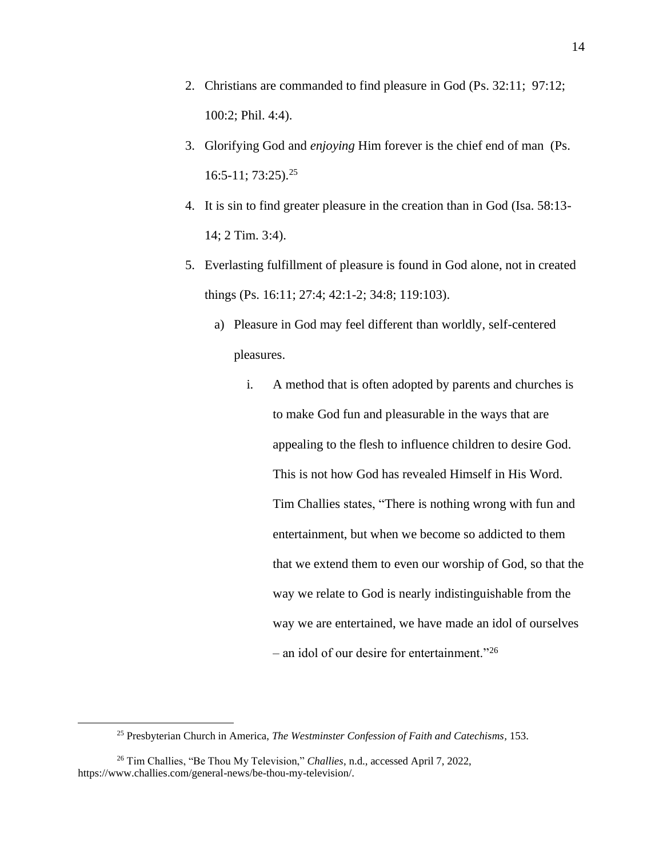- 2. Christians are commanded to find pleasure in God (Ps. 32:11; 97:12; 100:2; Phil. 4:4).
- 3. Glorifying God and *enjoying* Him forever is the chief end of man (Ps. 16:5-11; 73:25). 25
- 4. It is sin to find greater pleasure in the creation than in God (Isa. 58:13- 14; 2 Tim. 3:4).
- 5. Everlasting fulfillment of pleasure is found in God alone, not in created things (Ps. 16:11; 27:4; 42:1-2; 34:8; 119:103).
	- a) Pleasure in God may feel different than worldly, self-centered pleasures.
		- i. A method that is often adopted by parents and churches is to make God fun and pleasurable in the ways that are appealing to the flesh to influence children to desire God. This is not how God has revealed Himself in His Word. Tim Challies states, "There is nothing wrong with fun and entertainment, but when we become so addicted to them that we extend them to even our worship of God, so that the way we relate to God is nearly indistinguishable from the way we are entertained, we have made an idol of ourselves – an idol of our desire for entertainment."<sup>26</sup>

<sup>25</sup> Presbyterian Church in America, *The Westminster Confession of Faith and Catechisms,* 153.

<sup>26</sup> Tim Challies, "Be Thou My Television," *Challies*, n.d., accessed April 7, 2022, [https://www.challies.com/general-news/be-thou-my-television/.](https://www.challies.com/general-news/be-thou-my-television/)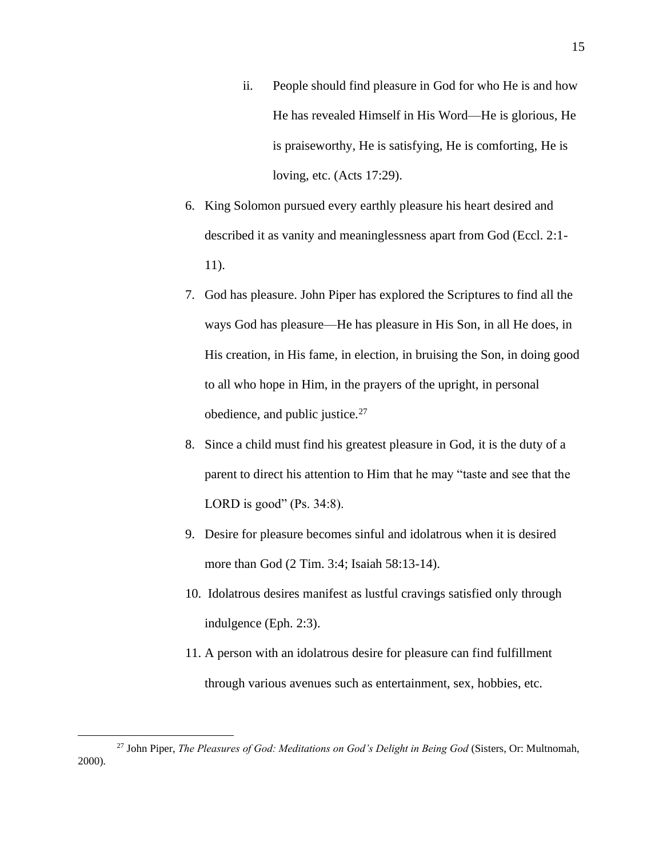- ii. People should find pleasure in God for who He is and how He has revealed Himself in His Word—He is glorious, He is praiseworthy, He is satisfying, He is comforting, He is loving, etc. (Acts 17:29).
- 6. King Solomon pursued every earthly pleasure his heart desired and described it as vanity and meaninglessness apart from God (Eccl. 2:1- 11).
- 7. God has pleasure. John Piper has explored the Scriptures to find all the ways God has pleasure—He has pleasure in His Son, in all He does, in His creation, in His fame, in election, in bruising the Son, in doing good to all who hope in Him, in the prayers of the upright, in personal obedience, and public justice.<sup>27</sup>
- 8. Since a child must find his greatest pleasure in God, it is the duty of a parent to direct his attention to Him that he may "taste and see that the LORD is good" (Ps. 34:8).
- 9. Desire for pleasure becomes sinful and idolatrous when it is desired more than God (2 Tim. 3:4; Isaiah 58:13-14).
- 10. Idolatrous desires manifest as lustful cravings satisfied only through indulgence (Eph. 2:3).
- 11. A person with an idolatrous desire for pleasure can find fulfillment through various avenues such as entertainment, sex, hobbies, etc.

<sup>27</sup> John Piper, *The Pleasures of God: Meditations on God's Delight in Being God* (Sisters, Or: Multnomah, 2000).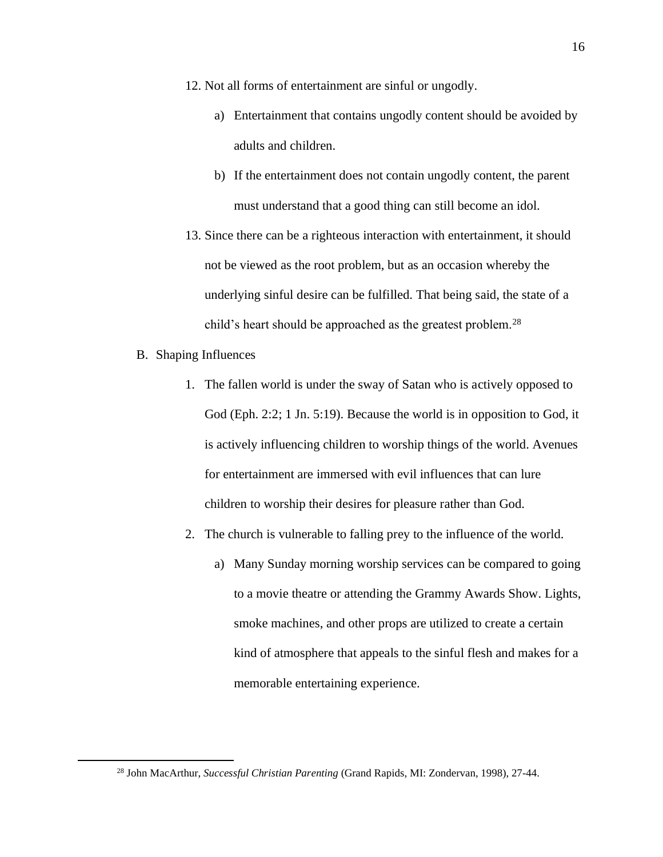- 12. Not all forms of entertainment are sinful or ungodly.
	- a) Entertainment that contains ungodly content should be avoided by adults and children.
	- b) If the entertainment does not contain ungodly content, the parent must understand that a good thing can still become an idol.
- 13. Since there can be a righteous interaction with entertainment, it should not be viewed as the root problem, but as an occasion whereby the underlying sinful desire can be fulfilled. That being said, the state of a child's heart should be approached as the greatest problem.<sup>28</sup>
- B. Shaping Influences
	- 1. The fallen world is under the sway of Satan who is actively opposed to God (Eph. 2:2; 1 Jn. 5:19). Because the world is in opposition to God, it is actively influencing children to worship things of the world. Avenues for entertainment are immersed with evil influences that can lure children to worship their desires for pleasure rather than God.
	- 2. The church is vulnerable to falling prey to the influence of the world.
		- a) Many Sunday morning worship services can be compared to going to a movie theatre or attending the Grammy Awards Show. Lights, smoke machines, and other props are utilized to create a certain kind of atmosphere that appeals to the sinful flesh and makes for a memorable entertaining experience.

<sup>28</sup> John MacArthur, *Successful Christian Parenting* (Grand Rapids, MI: Zondervan, 1998), 27-44.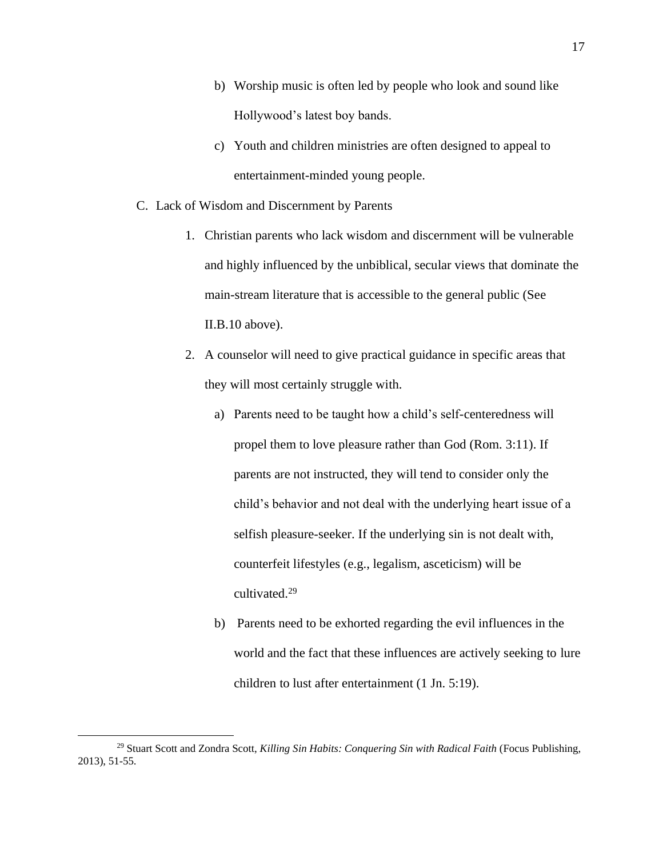- b) Worship music is often led by people who look and sound like Hollywood's latest boy bands.
- c) Youth and children ministries are often designed to appeal to entertainment-minded young people.
- C. Lack of Wisdom and Discernment by Parents
	- 1. Christian parents who lack wisdom and discernment will be vulnerable and highly influenced by the unbiblical, secular views that dominate the main-stream literature that is accessible to the general public (See II.B.10 above).
	- 2. A counselor will need to give practical guidance in specific areas that they will most certainly struggle with.
		- a) Parents need to be taught how a child's self-centeredness will propel them to love pleasure rather than God (Rom. 3:11). If parents are not instructed, they will tend to consider only the child's behavior and not deal with the underlying heart issue of a selfish pleasure-seeker. If the underlying sin is not dealt with, counterfeit lifestyles (e.g., legalism, asceticism) will be cultivated.<sup>29</sup>
		- b) Parents need to be exhorted regarding the evil influences in the world and the fact that these influences are actively seeking to lure children to lust after entertainment (1 Jn. 5:19).

<sup>29</sup> Stuart Scott and Zondra Scott, *Killing Sin Habits: Conquering Sin with Radical Faith* (Focus Publishing, 2013), 51-55.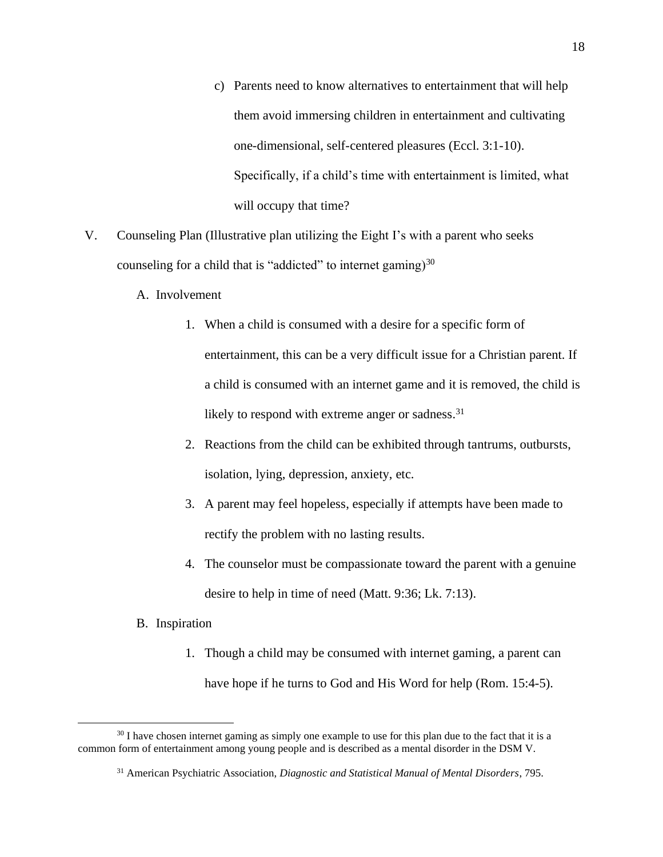- c) Parents need to know alternatives to entertainment that will help them avoid immersing children in entertainment and cultivating one-dimensional, self-centered pleasures (Eccl. 3:1-10). Specifically, if a child's time with entertainment is limited, what will occupy that time?
- V. Counseling Plan (Illustrative plan utilizing the Eight I's with a parent who seeks counseling for a child that is "addicted" to internet gaming) $30$ 
	- A. Involvement
		- 1. When a child is consumed with a desire for a specific form of entertainment, this can be a very difficult issue for a Christian parent. If a child is consumed with an internet game and it is removed, the child is likely to respond with extreme anger or sadness.<sup>31</sup>
		- 2. Reactions from the child can be exhibited through tantrums, outbursts, isolation, lying, depression, anxiety, etc.
		- 3. A parent may feel hopeless, especially if attempts have been made to rectify the problem with no lasting results.
		- 4. The counselor must be compassionate toward the parent with a genuine desire to help in time of need (Matt. 9:36; Lk. 7:13).

### B. Inspiration

1. Though a child may be consumed with internet gaming, a parent can have hope if he turns to God and His Word for help (Rom. 15:4-5).

 $30$  I have chosen internet gaming as simply one example to use for this plan due to the fact that it is a common form of entertainment among young people and is described as a mental disorder in the DSM V.

<sup>31</sup> American Psychiatric Association, *Diagnostic and Statistical Manual of Mental Disorders*, 795.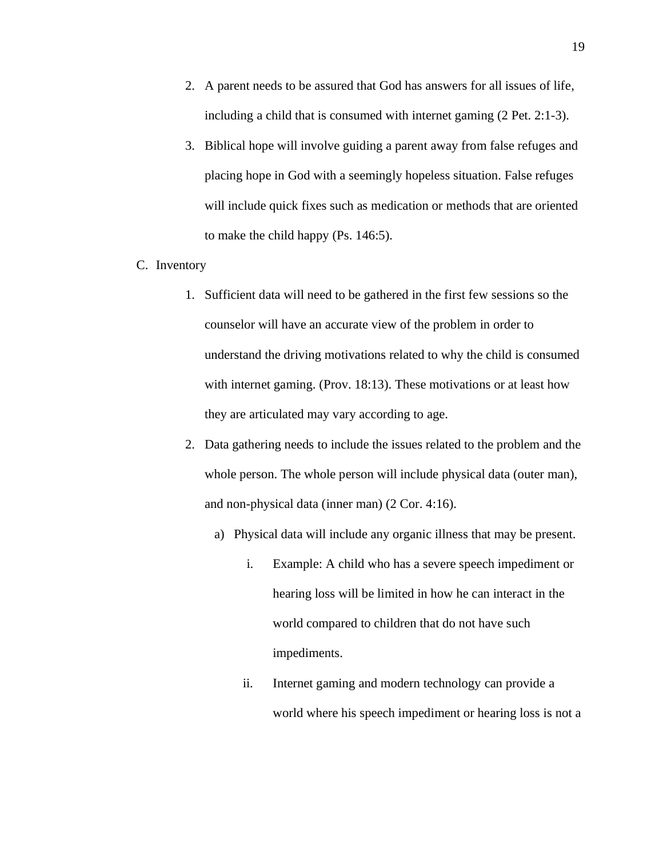- 2. A parent needs to be assured that God has answers for all issues of life, including a child that is consumed with internet gaming (2 Pet. 2:1-3).
- 3. Biblical hope will involve guiding a parent away from false refuges and placing hope in God with a seemingly hopeless situation. False refuges will include quick fixes such as medication or methods that are oriented to make the child happy (Ps. 146:5).
- C. Inventory
	- 1. Sufficient data will need to be gathered in the first few sessions so the counselor will have an accurate view of the problem in order to understand the driving motivations related to why the child is consumed with internet gaming. (Prov. 18:13). These motivations or at least how they are articulated may vary according to age.
	- 2. Data gathering needs to include the issues related to the problem and the whole person. The whole person will include physical data (outer man), and non-physical data (inner man) (2 Cor. 4:16).
		- a) Physical data will include any organic illness that may be present.
			- i. Example: A child who has a severe speech impediment or hearing loss will be limited in how he can interact in the world compared to children that do not have such impediments.
			- ii. Internet gaming and modern technology can provide a world where his speech impediment or hearing loss is not a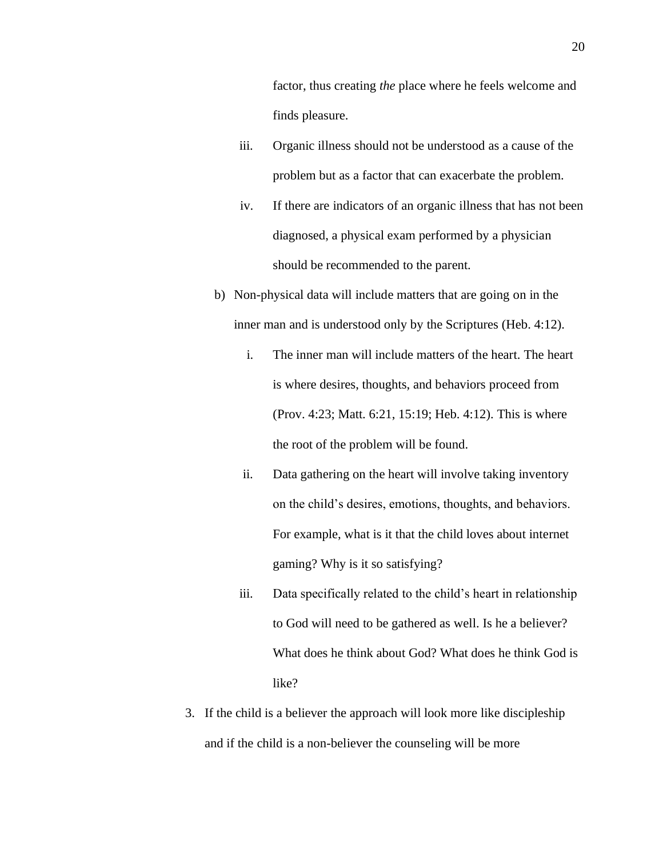- iii. Organic illness should not be understood as a cause of the problem but as a factor that can exacerbate the problem.
- iv. If there are indicators of an organic illness that has not been diagnosed, a physical exam performed by a physician should be recommended to the parent.
- b) Non-physical data will include matters that are going on in the inner man and is understood only by the Scriptures (Heb. 4:12).
	- i. The inner man will include matters of the heart. The heart is where desires, thoughts, and behaviors proceed from (Prov. 4:23; Matt. 6:21, 15:19; Heb. 4:12). This is where the root of the problem will be found.
	- ii. Data gathering on the heart will involve taking inventory on the child's desires, emotions, thoughts, and behaviors. For example, what is it that the child loves about internet gaming? Why is it so satisfying?
	- iii. Data specifically related to the child's heart in relationship to God will need to be gathered as well. Is he a believer? What does he think about God? What does he think God is like?
- 3. If the child is a believer the approach will look more like discipleship and if the child is a non-believer the counseling will be more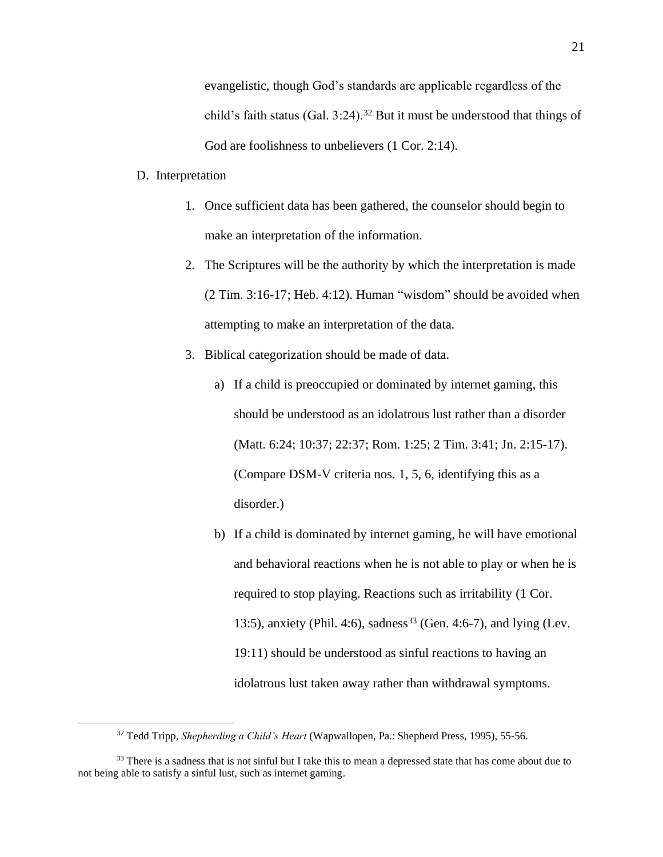evangelistic, though God's standards are applicable regardless of the child's faith status (Gal.  $3:24$ ).<sup>32</sup> But it must be understood that things of God are foolishness to unbelievers  $(1 \text{ Cor. } 2:14)$ .

#### D. Interpretation

- 1. Once sufficient data has been gathered, the counselor should begin to make an interpretation of the information.
- 2. The Scriptures will be the authority by which the interpretation is made (2 Tim. 3:16-17; Heb. 4:12). Human "wisdom" should be avoided when attempting to make an interpretation of the data.
- 3. Biblical categorization should be made of data.
	- a) If a child is preoccupied or dominated by internet gaming, this should be understood as an idolatrous lust rather than a disorder (Matt. 6:24; 10:37; 22:37; Rom. 1:25; 2 Tim. 3:41; Jn. 2:15-17). (Compare DSM-V criteria nos. 1, 5, 6, identifying this as a disorder.)
	- b) If a child is dominated by internet gaming, he will have emotional and behavioral reactions when he is not able to play or when he is required to stop playing. Reactions such as irritability (1 Cor. 13:5), anxiety (Phil. 4:6), sadness<sup>33</sup> (Gen. 4:6-7), and lying (Lev. 19:11) should be understood as sinful reactions to having an idolatrous lust taken away rather than withdrawal symptoms.

<sup>32</sup> Tedd Tripp, *Shepherding a Child's Heart* (Wapwallopen, Pa.: Shepherd Press, 1995), 55-56.

<sup>&</sup>lt;sup>33</sup> There is a sadness that is not sinful but I take this to mean a depressed state that has come about due to not being able to satisfy a sinful lust, such as internet gaming.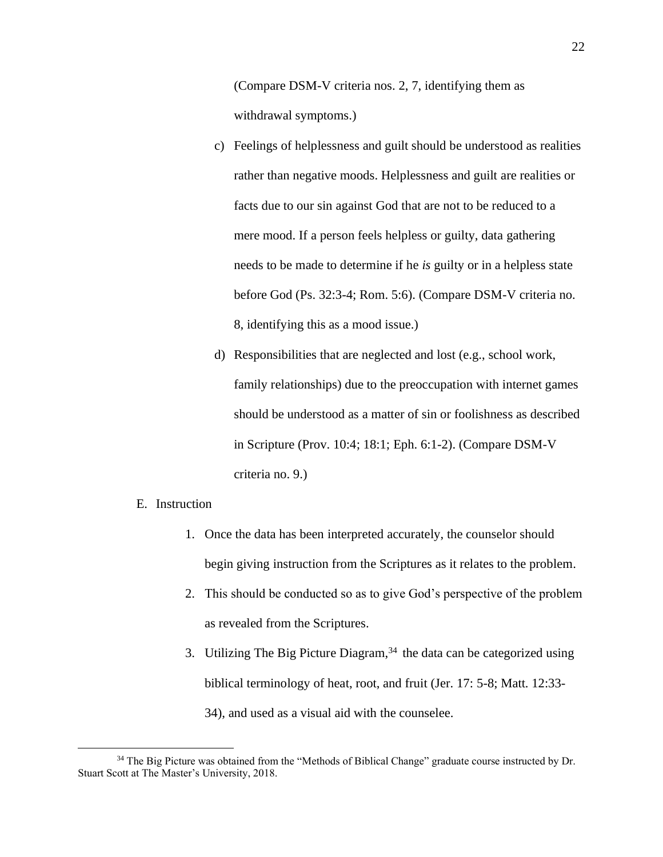(Compare DSM-V criteria nos. 2, 7, identifying them as withdrawal symptoms.)

- c) Feelings of helplessness and guilt should be understood as realities rather than negative moods. Helplessness and guilt are realities or facts due to our sin against God that are not to be reduced to a mere mood. If a person feels helpless or guilty, data gathering needs to be made to determine if he *is* guilty or in a helpless state before God (Ps. 32:3-4; Rom. 5:6). (Compare DSM-V criteria no. 8, identifying this as a mood issue.)
- d) Responsibilities that are neglected and lost (e.g., school work, family relationships) due to the preoccupation with internet games should be understood as a matter of sin or foolishness as described in Scripture (Prov. 10:4; 18:1; Eph. 6:1-2). (Compare DSM-V criteria no. 9.)

#### E. Instruction

- 1. Once the data has been interpreted accurately, the counselor should begin giving instruction from the Scriptures as it relates to the problem.
- 2. This should be conducted so as to give God's perspective of the problem as revealed from the Scriptures.
- 3. Utilizing The Big Picture Diagram,  $34$  the data can be categorized using biblical terminology of heat, root, and fruit (Jer. 17: 5-8; Matt. 12:33- 34), and used as a visual aid with the counselee.

<sup>&</sup>lt;sup>34</sup> The Big Picture was obtained from the "Methods of Biblical Change" graduate course instructed by Dr. Stuart Scott at The Master's University, 2018.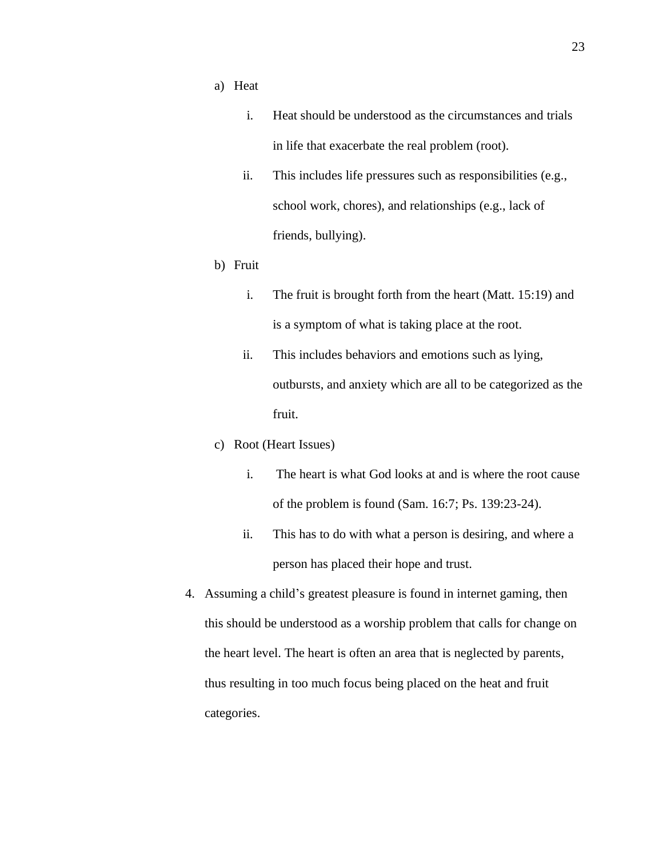- a) Heat
	- i. Heat should be understood as the circumstances and trials in life that exacerbate the real problem (root).
	- ii. This includes life pressures such as responsibilities (e.g., school work, chores), and relationships (e.g., lack of friends, bullying).
- b) Fruit
	- i. The fruit is brought forth from the heart (Matt. 15:19) and is a symptom of what is taking place at the root.
	- ii. This includes behaviors and emotions such as lying, outbursts, and anxiety which are all to be categorized as the fruit.
- c) Root (Heart Issues)
	- i. The heart is what God looks at and is where the root cause of the problem is found (Sam. 16:7; Ps. 139:23-24).
	- ii. This has to do with what a person is desiring, and where a person has placed their hope and trust.
- 4. Assuming a child's greatest pleasure is found in internet gaming, then this should be understood as a worship problem that calls for change on the heart level. The heart is often an area that is neglected by parents, thus resulting in too much focus being placed on the heat and fruit categories.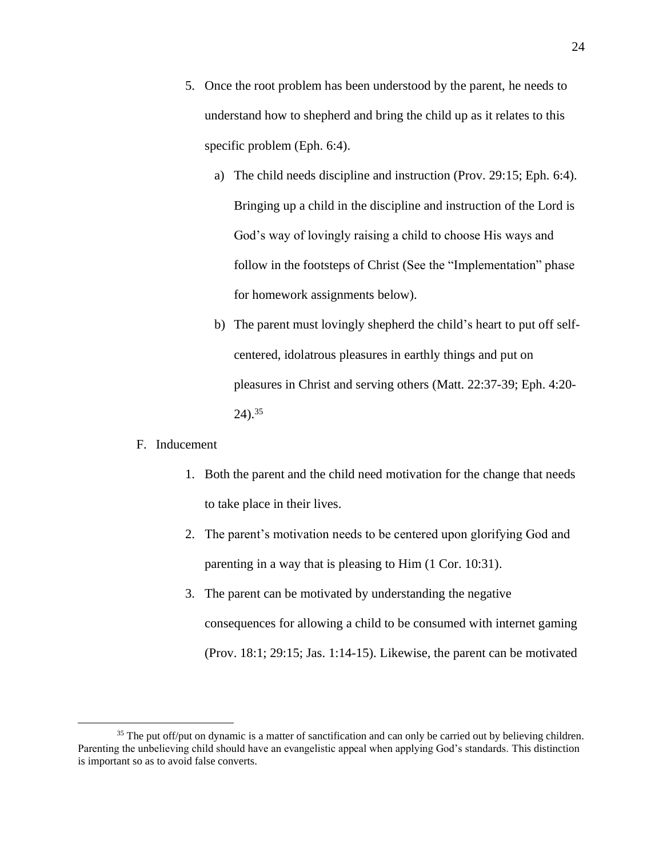- 5. Once the root problem has been understood by the parent, he needs to understand how to shepherd and bring the child up as it relates to this specific problem (Eph. 6:4).
	- a) The child needs discipline and instruction (Prov. 29:15; Eph. 6:4). Bringing up a child in the discipline and instruction of the Lord is God's way of lovingly raising a child to choose His ways and follow in the footsteps of Christ (See the "Implementation" phase for homework assignments below).
	- b) The parent must lovingly shepherd the child's heart to put off selfcentered, idolatrous pleasures in earthly things and put on pleasures in Christ and serving others (Matt. 22:37-39; Eph. 4:20-  $24)$ .<sup>35</sup>

#### F. Inducement

- 1. Both the parent and the child need motivation for the change that needs to take place in their lives.
- 2. The parent's motivation needs to be centered upon glorifying God and parenting in a way that is pleasing to Him (1 Cor. 10:31).
- 3. The parent can be motivated by understanding the negative consequences for allowing a child to be consumed with internet gaming (Prov. 18:1; 29:15; Jas. 1:14-15). Likewise, the parent can be motivated

<sup>&</sup>lt;sup>35</sup> The put off/put on dynamic is a matter of sanctification and can only be carried out by believing children. Parenting the unbelieving child should have an evangelistic appeal when applying God's standards. This distinction is important so as to avoid false converts.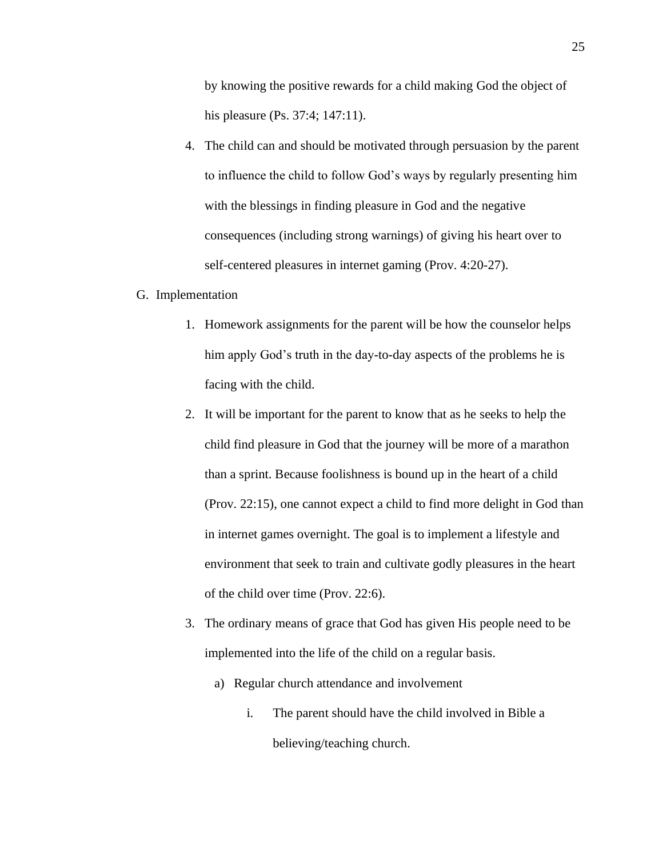by knowing the positive rewards for a child making God the object of his pleasure (Ps. 37:4; 147:11).

4. The child can and should be motivated through persuasion by the parent to influence the child to follow God's ways by regularly presenting him with the blessings in finding pleasure in God and the negative consequences (including strong warnings) of giving his heart over to self-centered pleasures in internet gaming (Prov. 4:20-27).

#### G. Implementation

- 1. Homework assignments for the parent will be how the counselor helps him apply God's truth in the day-to-day aspects of the problems he is facing with the child.
- 2. It will be important for the parent to know that as he seeks to help the child find pleasure in God that the journey will be more of a marathon than a sprint. Because foolishness is bound up in the heart of a child (Prov. 22:15), one cannot expect a child to find more delight in God than in internet games overnight. The goal is to implement a lifestyle and environment that seek to train and cultivate godly pleasures in the heart of the child over time (Prov. 22:6).
- 3. The ordinary means of grace that God has given His people need to be implemented into the life of the child on a regular basis.
	- a) Regular church attendance and involvement
		- i. The parent should have the child involved in Bible a believing/teaching church.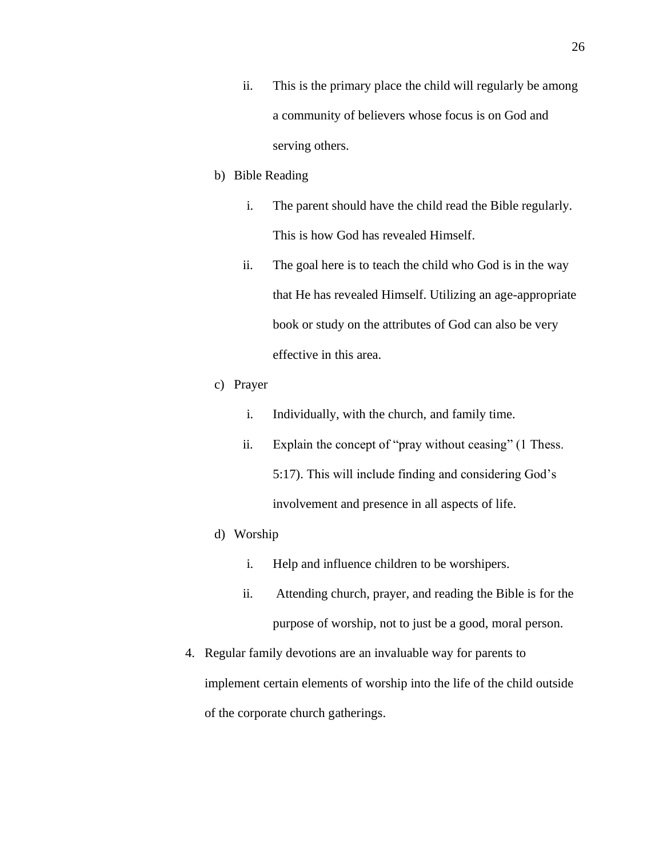ii. This is the primary place the child will regularly be among a community of believers whose focus is on God and serving others.

#### b) Bible Reading

- i. The parent should have the child read the Bible regularly. This is how God has revealed Himself.
- ii. The goal here is to teach the child who God is in the way that He has revealed Himself. Utilizing an age-appropriate book or study on the attributes of God can also be very effective in this area.

### c) Prayer

- i. Individually, with the church, and family time.
- ii. Explain the concept of "pray without ceasing" (1 Thess. 5:17). This will include finding and considering God's involvement and presence in all aspects of life.

#### d) Worship

- i. Help and influence children to be worshipers.
- ii. Attending church, prayer, and reading the Bible is for the purpose of worship, not to just be a good, moral person.
- 4. Regular family devotions are an invaluable way for parents to implement certain elements of worship into the life of the child outside of the corporate church gatherings.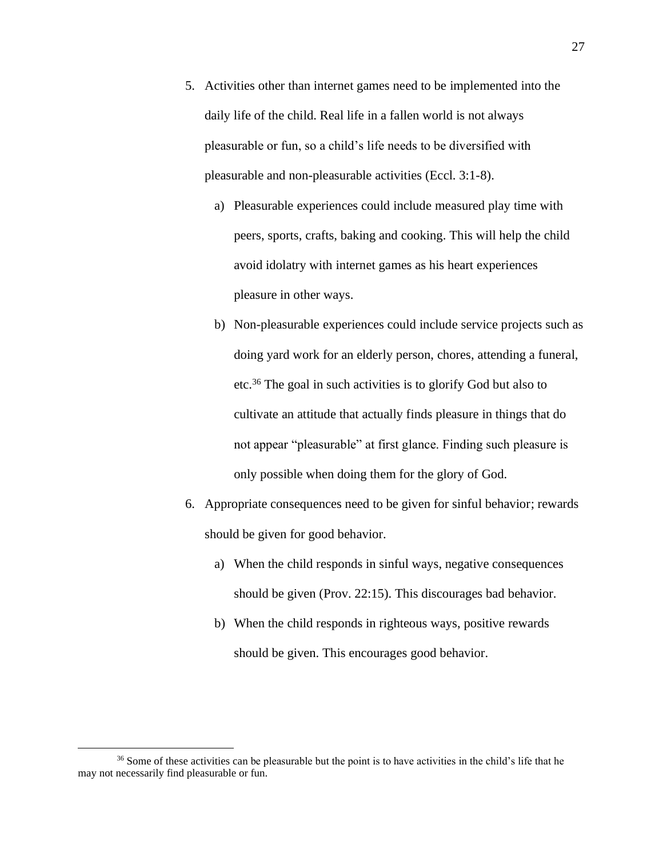- 5. Activities other than internet games need to be implemented into the daily life of the child. Real life in a fallen world is not always pleasurable or fun, so a child's life needs to be diversified with pleasurable and non-pleasurable activities (Eccl. 3:1-8).
	- a) Pleasurable experiences could include measured play time with peers, sports, crafts, baking and cooking. This will help the child avoid idolatry with internet games as his heart experiences pleasure in other ways.
	- b) Non-pleasurable experiences could include service projects such as doing yard work for an elderly person, chores, attending a funeral, etc. <sup>36</sup> The goal in such activities is to glorify God but also to cultivate an attitude that actually finds pleasure in things that do not appear "pleasurable" at first glance. Finding such pleasure is only possible when doing them for the glory of God.
- 6. Appropriate consequences need to be given for sinful behavior; rewards should be given for good behavior.
	- a) When the child responds in sinful ways, negative consequences should be given (Prov. 22:15). This discourages bad behavior.
	- b) When the child responds in righteous ways, positive rewards should be given. This encourages good behavior.

<sup>&</sup>lt;sup>36</sup> Some of these activities can be pleasurable but the point is to have activities in the child's life that he may not necessarily find pleasurable or fun.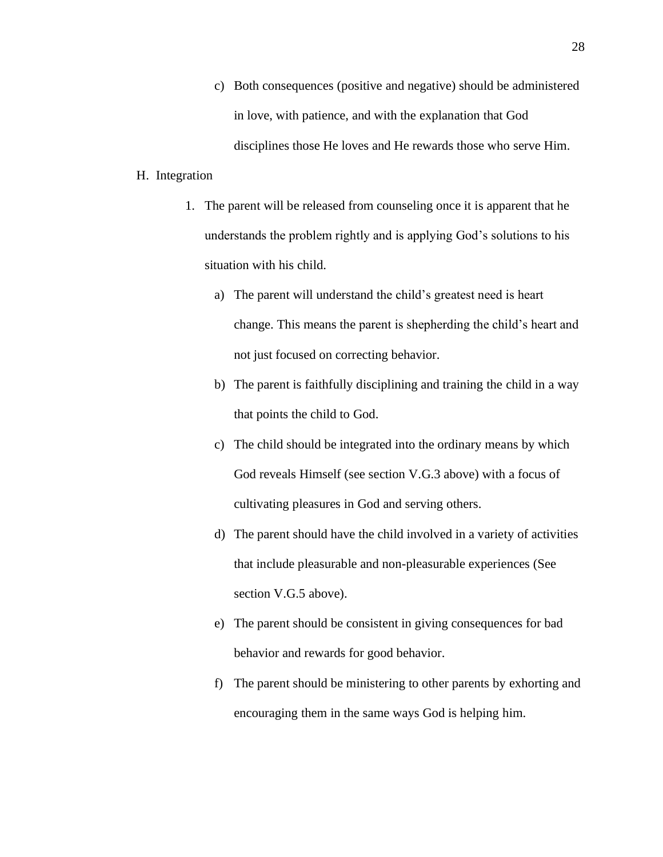c) Both consequences (positive and negative) should be administered in love, with patience, and with the explanation that God disciplines those He loves and He rewards those who serve Him.

#### H. Integration

- 1. The parent will be released from counseling once it is apparent that he understands the problem rightly and is applying God's solutions to his situation with his child.
	- a) The parent will understand the child's greatest need is heart change. This means the parent is shepherding the child's heart and not just focused on correcting behavior.
	- b) The parent is faithfully disciplining and training the child in a way that points the child to God.
	- c) The child should be integrated into the ordinary means by which God reveals Himself (see section V.G.3 above) with a focus of cultivating pleasures in God and serving others.
	- d) The parent should have the child involved in a variety of activities that include pleasurable and non-pleasurable experiences (See section V.G.5 above).
	- e) The parent should be consistent in giving consequences for bad behavior and rewards for good behavior.
	- f) The parent should be ministering to other parents by exhorting and encouraging them in the same ways God is helping him.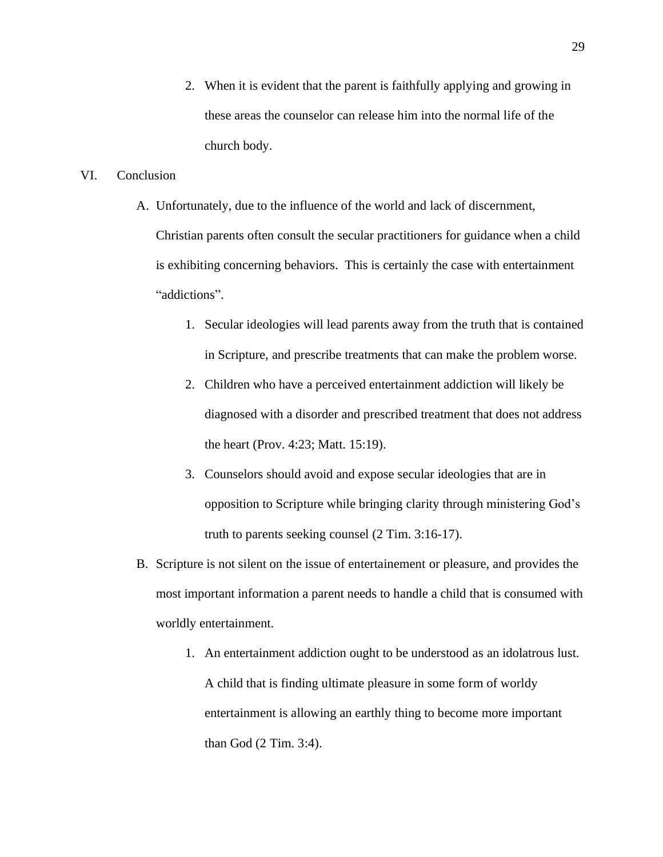2. When it is evident that the parent is faithfully applying and growing in these areas the counselor can release him into the normal life of the church body.

### VI. Conclusion

- A. Unfortunately, due to the influence of the world and lack of discernment, Christian parents often consult the secular practitioners for guidance when a child is exhibiting concerning behaviors. This is certainly the case with entertainment "addictions".
	- 1. Secular ideologies will lead parents away from the truth that is contained in Scripture, and prescribe treatments that can make the problem worse.
	- 2. Children who have a perceived entertainment addiction will likely be diagnosed with a disorder and prescribed treatment that does not address the heart (Prov. 4:23; Matt. 15:19).
	- 3. Counselors should avoid and expose secular ideologies that are in opposition to Scripture while bringing clarity through ministering God's truth to parents seeking counsel (2 Tim. 3:16-17).
- B. Scripture is not silent on the issue of entertainement or pleasure, and provides the most important information a parent needs to handle a child that is consumed with worldly entertainment.
	- 1. An entertainment addiction ought to be understood as an idolatrous lust. A child that is finding ultimate pleasure in some form of worldy entertainment is allowing an earthly thing to become more important than God (2 Tim. 3:4).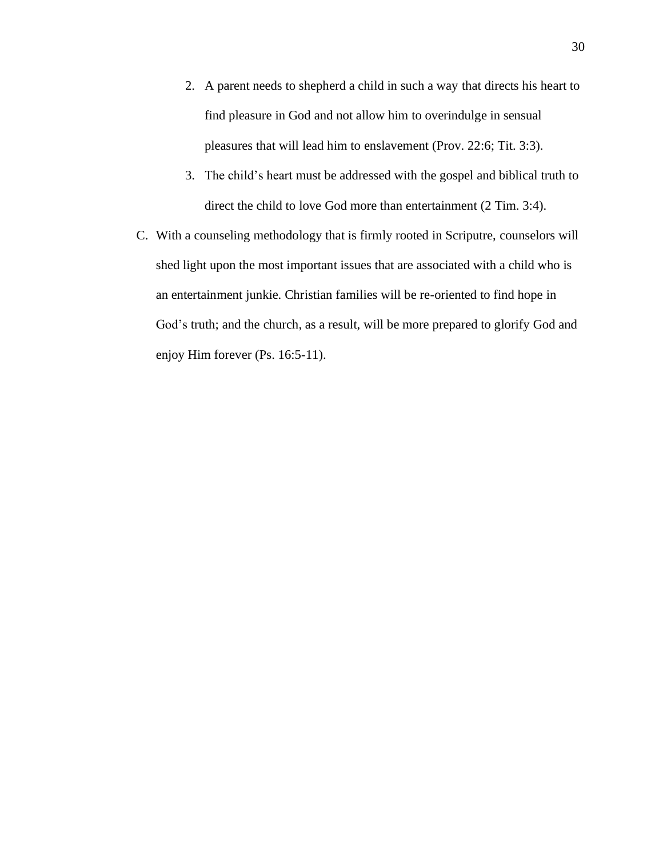- 2. A parent needs to shepherd a child in such a way that directs his heart to find pleasure in God and not allow him to overindulge in sensual pleasures that will lead him to enslavement (Prov. 22:6; Tit. 3:3).
- 3. The child's heart must be addressed with the gospel and biblical truth to direct the child to love God more than entertainment (2 Tim. 3:4).
- C. With a counseling methodology that is firmly rooted in Scriputre, counselors will shed light upon the most important issues that are associated with a child who is an entertainment junkie. Christian families will be re-oriented to find hope in God's truth; and the church, as a result, will be more prepared to glorify God and enjoy Him forever (Ps. 16:5-11).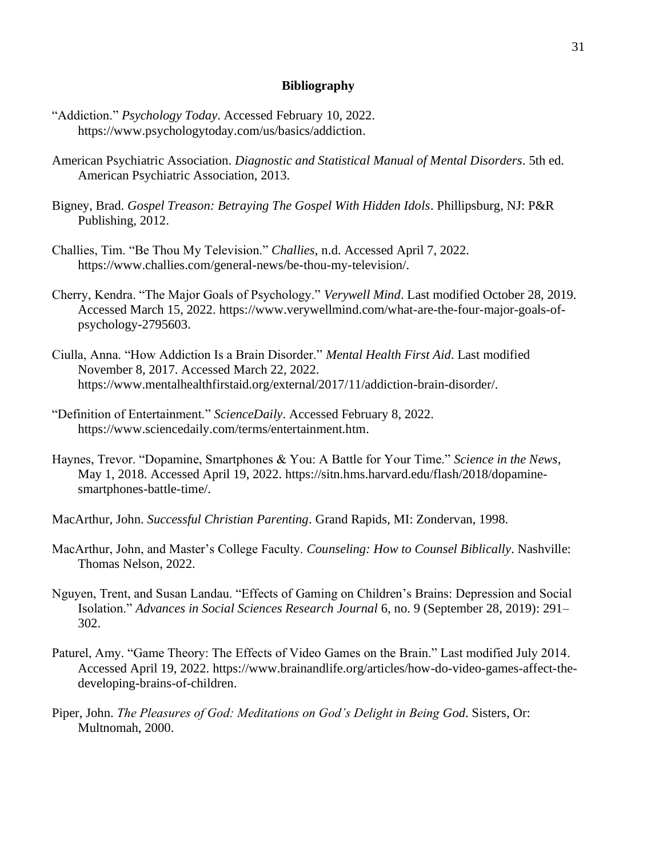#### **Bibliography**

- "Addiction." *Psychology Today*. Accessed February 10, 2022. [https://www.psychologytoday.com/us/basics/addiction.](https://www.psychologytoday.com/us/basics/addiction)
- American Psychiatric Association. *Diagnostic and Statistical Manual of Mental Disorders*. 5th ed. American Psychiatric Association, 2013.
- Bigney, Brad. *Gospel Treason: Betraying The Gospel With Hidden Idols*. Phillipsburg, NJ: P&R Publishing, 2012.
- Challies, Tim. "Be Thou My Television." *Challies*, n.d. Accessed April 7, 2022. [https://www.challies.com/general-news/be-thou-my-television/.](https://www.challies.com/general-news/be-thou-my-television/)
- Cherry, Kendra. "The Major Goals of Psychology." *Verywell Mind*. Last modified October 28, 2019. Accessed March 15, 2022. [https://www.verywellmind.com/what-are-the-four-major-goals-of](https://www.verywellmind.com/what-are-the-four-major-goals-of-psychology-2795603)[psychology-2795603.](https://www.verywellmind.com/what-are-the-four-major-goals-of-psychology-2795603)
- Ciulla, Anna. "How Addiction Is a Brain Disorder." *Mental Health First Aid*. Last modified November 8, 2017. Accessed March 22, 2022. [https://www.mentalhealthfirstaid.org/external/2017/11/addiction-brain-disorder/.](https://www.mentalhealthfirstaid.org/external/2017/11/addiction-brain-disorder/)
- "Definition of Entertainment." *ScienceDaily*. Accessed February 8, 2022. [https://www.sciencedaily.com/terms/entertainment.htm.](https://www.sciencedaily.com/terms/entertainment.htm)
- Haynes, Trevor. "Dopamine, Smartphones & You: A Battle for Your Time." *Science in the News*, May 1, 2018. Accessed April 19, 2022. [https://sitn.hms.harvard.edu/flash/2018/dopamine](https://sitn.hms.harvard.edu/flash/2018/dopamine-smartphones-battle-time/)[smartphones-battle-time/.](https://sitn.hms.harvard.edu/flash/2018/dopamine-smartphones-battle-time/)
- MacArthur, John. *Successful Christian Parenting*. Grand Rapids, MI: Zondervan, 1998.
- MacArthur, John, and Master's College Faculty. *Counseling: How to Counsel Biblically*. Nashville: Thomas Nelson, 2022.
- Nguyen, Trent, and Susan Landau. "Effects of Gaming on Children's Brains: Depression and Social Isolation." *Advances in Social Sciences Research Journal* 6, no. 9 (September 28, 2019): 291– 302.
- Paturel, Amy. "Game Theory: The Effects of Video Games on the Brain." Last modified July 2014. Accessed April 19, 2022. [https://www.brainandlife.org/articles/how-do-video-games-affect-the](https://www.brainandlife.org/articles/how-do-video-games-affect-the-developing-brains-of-children)[developing-brains-of-children.](https://www.brainandlife.org/articles/how-do-video-games-affect-the-developing-brains-of-children)
- Piper, John. *The Pleasures of God: Meditations on God's Delight in Being God*. Sisters, Or: Multnomah, 2000.